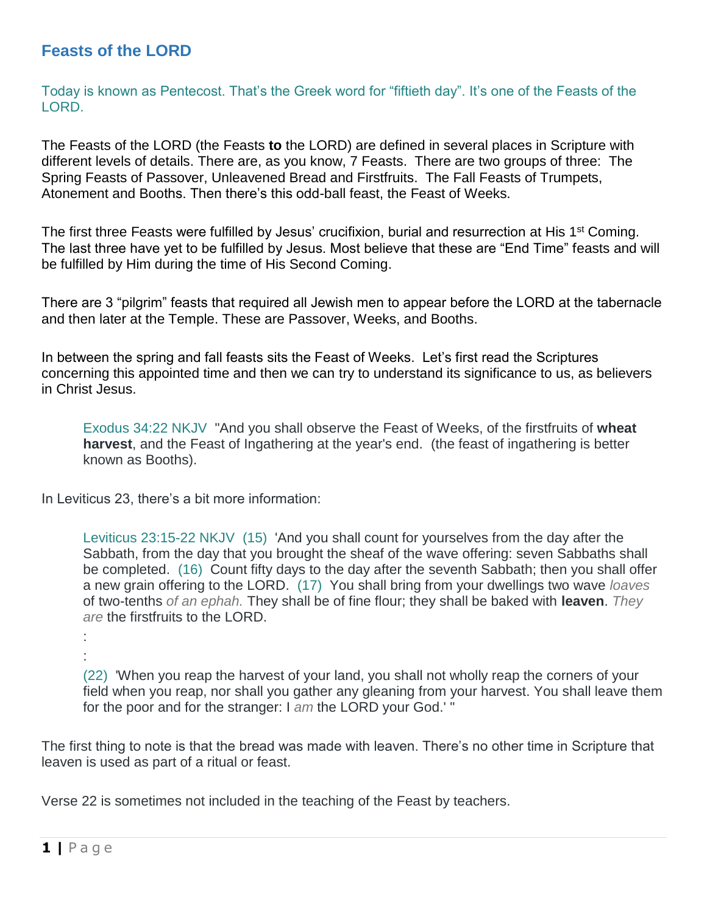## **Feasts of the LORD**

Today is known as Pentecost. That's the Greek word for "fiftieth day". It's one of the Feasts of the LORD.

The Feasts of the LORD (the Feasts **to** the LORD) are defined in several places in Scripture with different levels of details. There are, as you know, 7 Feasts. There are two groups of three: The Spring Feasts of Passover, Unleavened Bread and Firstfruits. The Fall Feasts of Trumpets, Atonement and Booths. Then there's this odd-ball feast, the Feast of Weeks.

The first three Feasts were fulfilled by Jesus' crucifixion, burial and resurrection at His 1<sup>st</sup> Coming. The last three have yet to be fulfilled by Jesus. Most believe that these are "End Time" feasts and will be fulfilled by Him during the time of His Second Coming.

There are 3 "pilgrim" feasts that required all Jewish men to appear before the LORD at the tabernacle and then later at the Temple. These are Passover, Weeks, and Booths.

In between the spring and fall feasts sits the Feast of Weeks. Let's first read the Scriptures concerning this appointed time and then we can try to understand its significance to us, as believers in Christ Jesus.

Exodus 34:22 NKJV "And you shall observe the Feast of Weeks, of the firstfruits of **wheat harvest**, and the Feast of Ingathering at the year's end. (the feast of ingathering is better known as Booths).

In Leviticus 23, there's a bit more information:

Leviticus 23:15-22 NKJV (15) 'And you shall count for yourselves from the day after the Sabbath, from the day that you brought the sheaf of the wave offering: seven Sabbaths shall be completed. (16) Count fifty days to the day after the seventh Sabbath; then you shall offer a new grain offering to the LORD. (17) You shall bring from your dwellings two wave *loaves* of two-tenths *of an ephah.* They shall be of fine flour; they shall be baked with **leaven**. *They are* the firstfruits to the LORD.

```
:
```
:

(22) 'When you reap the harvest of your land, you shall not wholly reap the corners of your field when you reap, nor shall you gather any gleaning from your harvest. You shall leave them for the poor and for the stranger: I *am* the LORD your God.' "

The first thing to note is that the bread was made with leaven. There's no other time in Scripture that leaven is used as part of a ritual or feast.

Verse 22 is sometimes not included in the teaching of the Feast by teachers.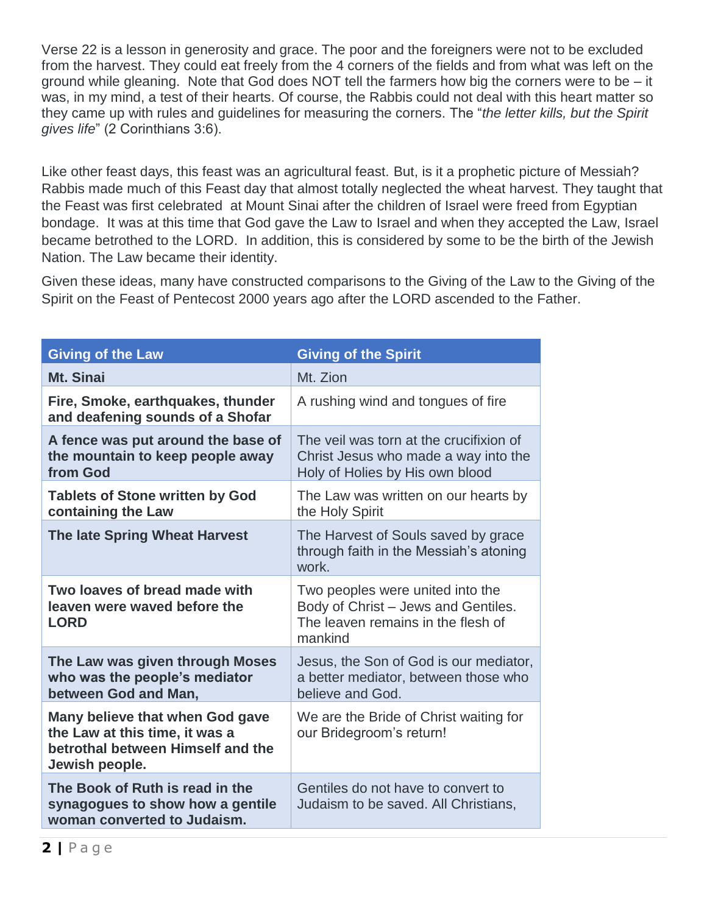Verse 22 is a lesson in generosity and grace. The poor and the foreigners were not to be excluded from the harvest. They could eat freely from the 4 corners of the fields and from what was left on the ground while gleaning. Note that God does NOT tell the farmers how big the corners were to be – it was, in my mind, a test of their hearts. Of course, the Rabbis could not deal with this heart matter so they came up with rules and guidelines for measuring the corners. The "*the letter kills, but the Spirit gives life*" (2 Corinthians 3:6).

Like other feast days, this feast was an agricultural feast. But, is it a prophetic picture of Messiah? Rabbis made much of this Feast day that almost totally neglected the wheat harvest. They taught that the Feast was first celebrated at Mount Sinai after the children of Israel were freed from Egyptian bondage. It was at this time that God gave the Law to Israel and when they accepted the Law, Israel became betrothed to the LORD. In addition, this is considered by some to be the birth of the Jewish Nation. The Law became their identity.

Given these ideas, many have constructed comparisons to the Giving of the Law to the Giving of the Spirit on the Feast of Pentecost 2000 years ago after the LORD ascended to the Father.

| <b>Giving of the Law</b>                                                                                                 | <b>Giving of the Spirit</b>                                                                                              |
|--------------------------------------------------------------------------------------------------------------------------|--------------------------------------------------------------------------------------------------------------------------|
| Mt. Sinai                                                                                                                | Mt. Zion                                                                                                                 |
| Fire, Smoke, earthquakes, thunder<br>and deafening sounds of a Shofar                                                    | A rushing wind and tongues of fire                                                                                       |
| A fence was put around the base of<br>the mountain to keep people away<br>from God                                       | The veil was torn at the crucifixion of<br>Christ Jesus who made a way into the<br>Holy of Holies by His own blood       |
| <b>Tablets of Stone written by God</b><br>containing the Law                                                             | The Law was written on our hearts by<br>the Holy Spirit                                                                  |
| <b>The late Spring Wheat Harvest</b>                                                                                     | The Harvest of Souls saved by grace<br>through faith in the Messiah's atoning<br>work.                                   |
| Two loaves of bread made with<br>leaven were waved before the<br><b>LORD</b>                                             | Two peoples were united into the<br>Body of Christ - Jews and Gentiles.<br>The leaven remains in the flesh of<br>mankind |
| The Law was given through Moses<br>who was the people's mediator<br>between God and Man,                                 | Jesus, the Son of God is our mediator,<br>a better mediator, between those who<br>believe and God.                       |
| Many believe that when God gave<br>the Law at this time, it was a<br>betrothal between Himself and the<br>Jewish people. | We are the Bride of Christ waiting for<br>our Bridegroom's return!                                                       |
| The Book of Ruth is read in the<br>synagogues to show how a gentile<br>woman converted to Judaism.                       | Gentiles do not have to convert to<br>Judaism to be saved. All Christians,                                               |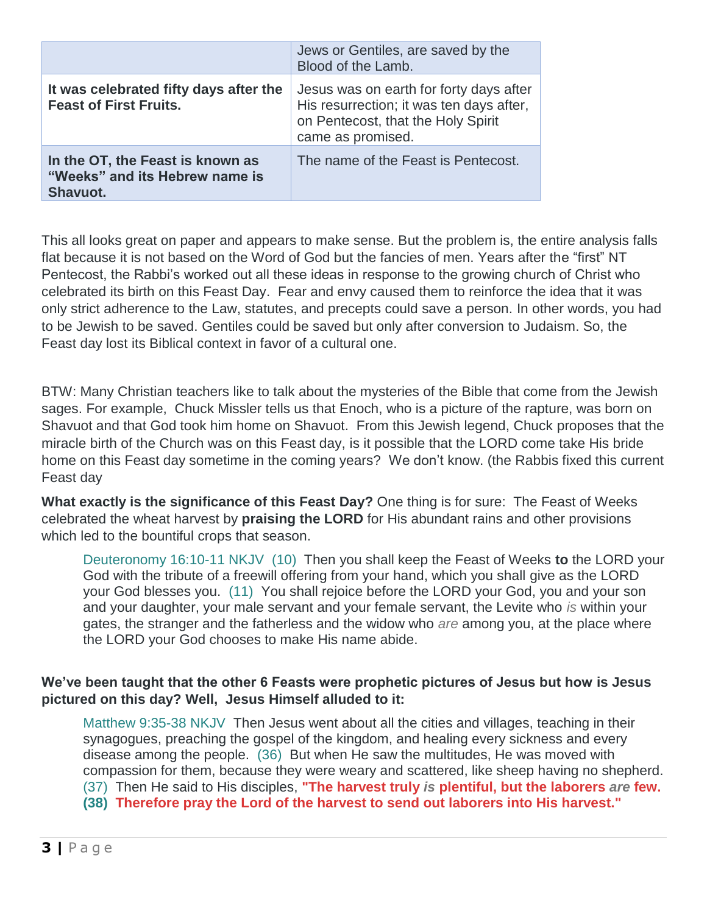|                                                                                | Jews or Gentiles, are saved by the<br>Blood of the Lamb.                                                                                       |
|--------------------------------------------------------------------------------|------------------------------------------------------------------------------------------------------------------------------------------------|
| It was celebrated fifty days after the<br><b>Feast of First Fruits.</b>        | Jesus was on earth for forty days after<br>His resurrection; it was ten days after,<br>on Pentecost, that the Holy Spirit<br>came as promised. |
| In the OT, the Feast is known as<br>"Weeks" and its Hebrew name is<br>Shavuot. | The name of the Feast is Pentecost.                                                                                                            |

This all looks great on paper and appears to make sense. But the problem is, the entire analysis falls flat because it is not based on the Word of God but the fancies of men. Years after the "first" NT Pentecost, the Rabbi's worked out all these ideas in response to the growing church of Christ who celebrated its birth on this Feast Day. Fear and envy caused them to reinforce the idea that it was only strict adherence to the Law, statutes, and precepts could save a person. In other words, you had to be Jewish to be saved. Gentiles could be saved but only after conversion to Judaism. So, the Feast day lost its Biblical context in favor of a cultural one.

BTW: Many Christian teachers like to talk about the mysteries of the Bible that come from the Jewish sages. For example, Chuck Missler tells us that Enoch, who is a picture of the rapture, was born on Shavuot and that God took him home on Shavuot. From this Jewish legend, Chuck proposes that the miracle birth of the Church was on this Feast day, is it possible that the LORD come take His bride home on this Feast day sometime in the coming years? We don't know. (the Rabbis fixed this current Feast day

**What exactly is the significance of this Feast Day?** One thing is for sure: The Feast of Weeks celebrated the wheat harvest by **praising the LORD** for His abundant rains and other provisions which led to the bountiful crops that season.

Deuteronomy 16:10-11 NKJV (10) Then you shall keep the Feast of Weeks **to** the LORD your God with the tribute of a freewill offering from your hand, which you shall give as the LORD your God blesses you. (11) You shall rejoice before the LORD your God, you and your son and your daughter, your male servant and your female servant, the Levite who *is* within your gates, the stranger and the fatherless and the widow who *are* among you, at the place where the LORD your God chooses to make His name abide.

## **We've been taught that the other 6 Feasts were prophetic pictures of Jesus but how is Jesus pictured on this day? Well, Jesus Himself alluded to it:**

Matthew 9:35-38 NKJV Then Jesus went about all the cities and villages, teaching in their synagogues, preaching the gospel of the kingdom, and healing every sickness and every disease among the people. (36) But when He saw the multitudes, He was moved with compassion for them, because they were weary and scattered, like sheep having no shepherd. (37) Then He said to His disciples, **"The harvest truly** *is* **plentiful, but the laborers** *are* **few. (38) Therefore pray the Lord of the harvest to send out laborers into His harvest."**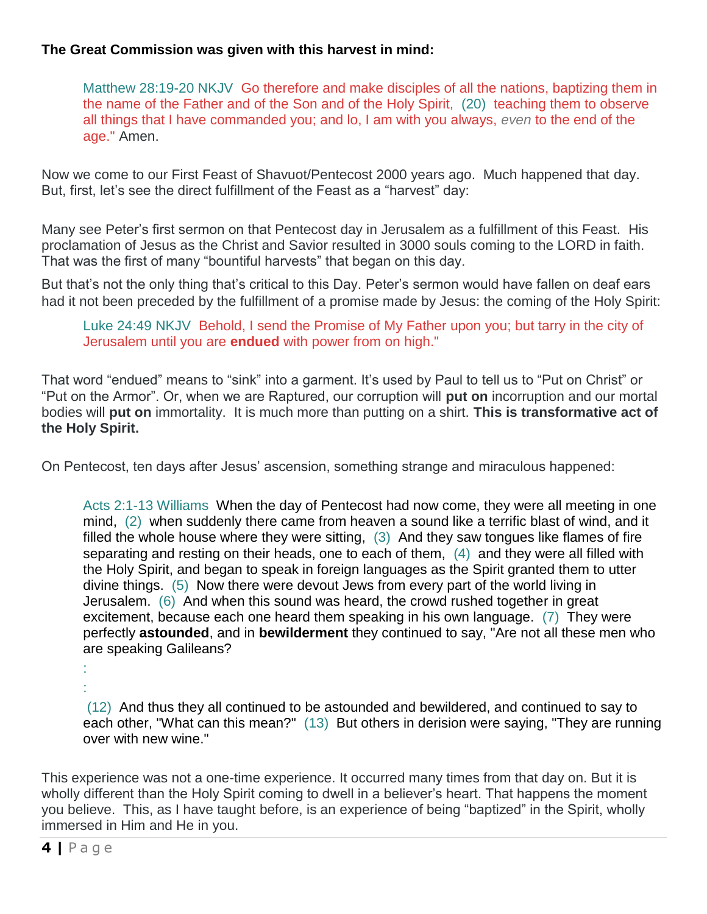## **The Great Commission was given with this harvest in mind:**

Matthew 28:19-20 NKJV Go therefore and make disciples of all the nations, baptizing them in the name of the Father and of the Son and of the Holy Spirit, (20) teaching them to observe all things that I have commanded you; and lo, I am with you always, *even* to the end of the age." Amen.

Now we come to our First Feast of Shavuot/Pentecost 2000 years ago. Much happened that day. But, first, let's see the direct fulfillment of the Feast as a "harvest" day:

Many see Peter's first sermon on that Pentecost day in Jerusalem as a fulfillment of this Feast. His proclamation of Jesus as the Christ and Savior resulted in 3000 souls coming to the LORD in faith. That was the first of many "bountiful harvests" that began on this day.

But that's not the only thing that's critical to this Day. Peter's sermon would have fallen on deaf ears had it not been preceded by the fulfillment of a promise made by Jesus: the coming of the Holy Spirit:

Luke 24:49 NKJV Behold, I send the Promise of My Father upon you; but tarry in the city of Jerusalem until you are **endued** with power from on high."

That word "endued" means to "sink" into a garment. It's used by Paul to tell us to "Put on Christ" or "Put on the Armor". Or, when we are Raptured, our corruption will **put on** incorruption and our mortal bodies will **put on** immortality. It is much more than putting on a shirt. **This is transformative act of the Holy Spirit.**

On Pentecost, ten days after Jesus' ascension, something strange and miraculous happened:

Acts 2:1-13 Williams When the day of Pentecost had now come, they were all meeting in one mind, (2) when suddenly there came from heaven a sound like a terrific blast of wind, and it filled the whole house where they were sitting, (3) And they saw tongues like flames of fire separating and resting on their heads, one to each of them, (4) and they were all filled with the Holy Spirit, and began to speak in foreign languages as the Spirit granted them to utter divine things. (5) Now there were devout Jews from every part of the world living in Jerusalem. (6) And when this sound was heard, the crowd rushed together in great excitement, because each one heard them speaking in his own language. (7) They were perfectly **astounded**, and in **bewilderment** they continued to say, "Are not all these men who are speaking Galileans?

(12) And thus they all continued to be astounded and bewildered, and continued to say to each other, "What can this mean?" (13) But others in derision were saying, "They are running over with new wine."

This experience was not a one-time experience. It occurred many times from that day on. But it is wholly different than the Holy Spirit coming to dwell in a believer's heart. That happens the moment you believe. This, as I have taught before, is an experience of being "baptized" in the Spirit, wholly immersed in Him and He in you.

: :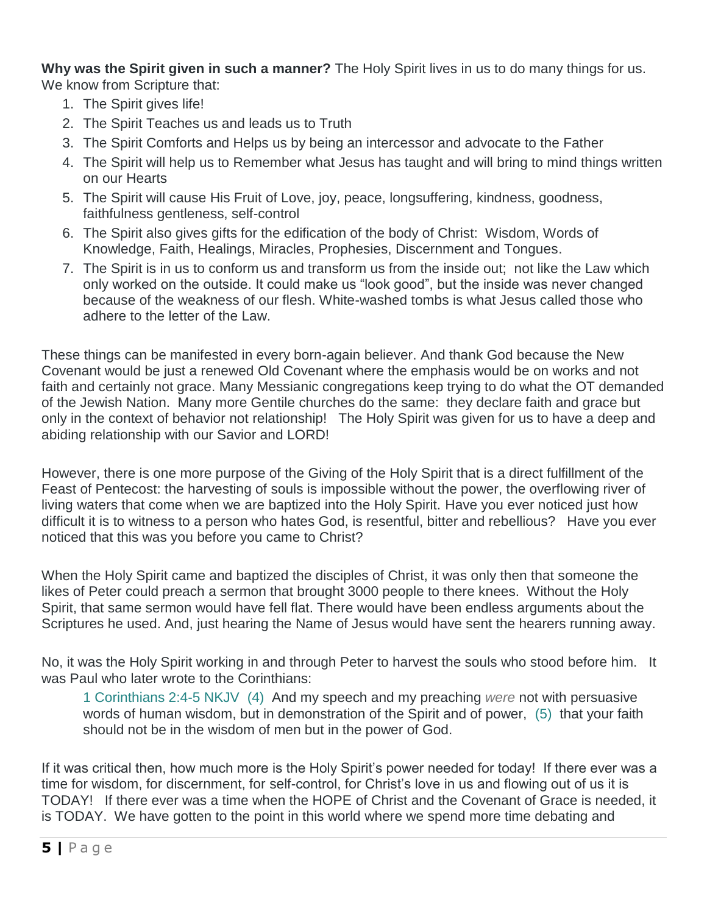**Why was the Spirit given in such a manner?** The Holy Spirit lives in us to do many things for us. We know from Scripture that:

- 1. The Spirit gives life!
- 2. The Spirit Teaches us and leads us to Truth
- 3. The Spirit Comforts and Helps us by being an intercessor and advocate to the Father
- 4. The Spirit will help us to Remember what Jesus has taught and will bring to mind things written on our Hearts
- 5. The Spirit will cause His Fruit of Love, joy, peace, longsuffering, kindness, goodness, faithfulness gentleness, self-control
- 6. The Spirit also gives gifts for the edification of the body of Christ: Wisdom, Words of Knowledge, Faith, Healings, Miracles, Prophesies, Discernment and Tongues.
- 7. The Spirit is in us to conform us and transform us from the inside out; not like the Law which only worked on the outside. It could make us "look good", but the inside was never changed because of the weakness of our flesh. White-washed tombs is what Jesus called those who adhere to the letter of the Law.

These things can be manifested in every born-again believer. And thank God because the New Covenant would be just a renewed Old Covenant where the emphasis would be on works and not faith and certainly not grace. Many Messianic congregations keep trying to do what the OT demanded of the Jewish Nation. Many more Gentile churches do the same: they declare faith and grace but only in the context of behavior not relationship! The Holy Spirit was given for us to have a deep and abiding relationship with our Savior and LORD!

However, there is one more purpose of the Giving of the Holy Spirit that is a direct fulfillment of the Feast of Pentecost: the harvesting of souls is impossible without the power, the overflowing river of living waters that come when we are baptized into the Holy Spirit. Have you ever noticed just how difficult it is to witness to a person who hates God, is resentful, bitter and rebellious? Have you ever noticed that this was you before you came to Christ?

When the Holy Spirit came and baptized the disciples of Christ, it was only then that someone the likes of Peter could preach a sermon that brought 3000 people to there knees. Without the Holy Spirit, that same sermon would have fell flat. There would have been endless arguments about the Scriptures he used. And, just hearing the Name of Jesus would have sent the hearers running away.

No, it was the Holy Spirit working in and through Peter to harvest the souls who stood before him. It was Paul who later wrote to the Corinthians:

1 Corinthians 2:4-5 NKJV (4) And my speech and my preaching *were* not with persuasive words of human wisdom, but in demonstration of the Spirit and of power, (5) that your faith should not be in the wisdom of men but in the power of God.

If it was critical then, how much more is the Holy Spirit's power needed for today! If there ever was a time for wisdom, for discernment, for self-control, for Christ's love in us and flowing out of us it is TODAY! If there ever was a time when the HOPE of Christ and the Covenant of Grace is needed, it is TODAY. We have gotten to the point in this world where we spend more time debating and